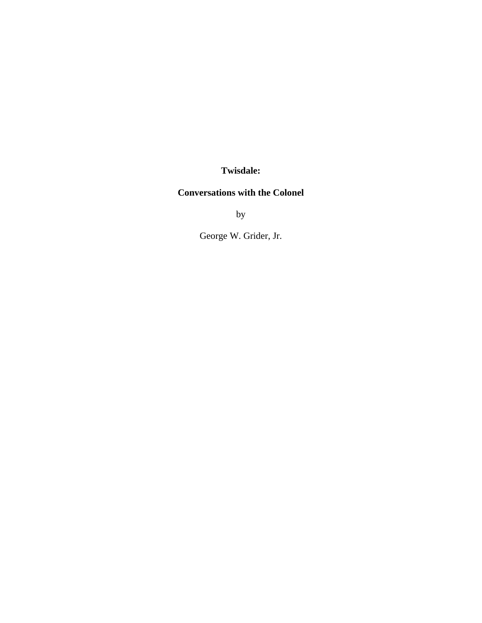## **Twisdale:**

## **Conversations with the Colonel**

by

George W. Grider, Jr.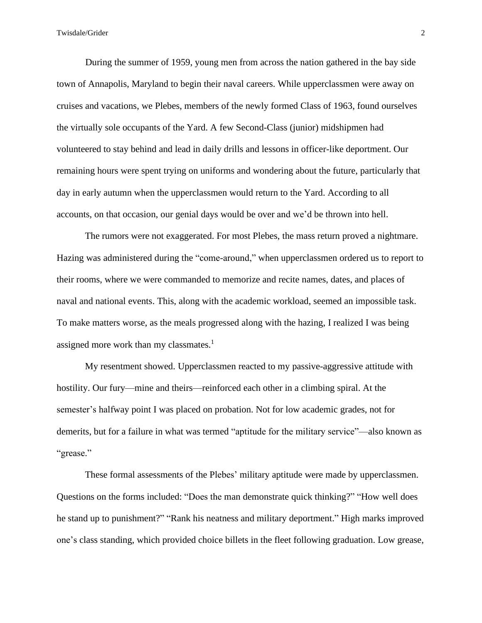During the summer of 1959, young men from across the nation gathered in the bay side town of Annapolis, Maryland to begin their naval careers. While upperclassmen were away on cruises and vacations, we Plebes, members of the newly formed Class of 1963, found ourselves the virtually sole occupants of the Yard. A few Second-Class (junior) midshipmen had volunteered to stay behind and lead in daily drills and lessons in officer-like deportment. Our remaining hours were spent trying on uniforms and wondering about the future, particularly that day in early autumn when the upperclassmen would return to the Yard. According to all accounts, on that occasion, our genial days would be over and we'd be thrown into hell.

The rumors were not exaggerated. For most Plebes, the mass return proved a nightmare. Hazing was administered during the "come-around," when upperclassmen ordered us to report to their rooms, where we were commanded to memorize and recite names, dates, and places of naval and national events. This, along with the academic workload, seemed an impossible task. To make matters worse, as the meals progressed along with the hazing, I realized I was being assigned more work than my classmates.<sup>1</sup>

My resentment showed. Upperclassmen reacted to my passive-aggressive attitude with hostility. Our fury—mine and theirs—reinforced each other in a climbing spiral. At the semester's halfway point I was placed on probation. Not for low academic grades, not for demerits, but for a failure in what was termed "aptitude for the military service"—also known as "grease."

These formal assessments of the Plebes' military aptitude were made by upperclassmen. Questions on the forms included: "Does the man demonstrate quick thinking?" "How well does he stand up to punishment?" "Rank his neatness and military deportment." High marks improved one's class standing, which provided choice billets in the fleet following graduation. Low grease,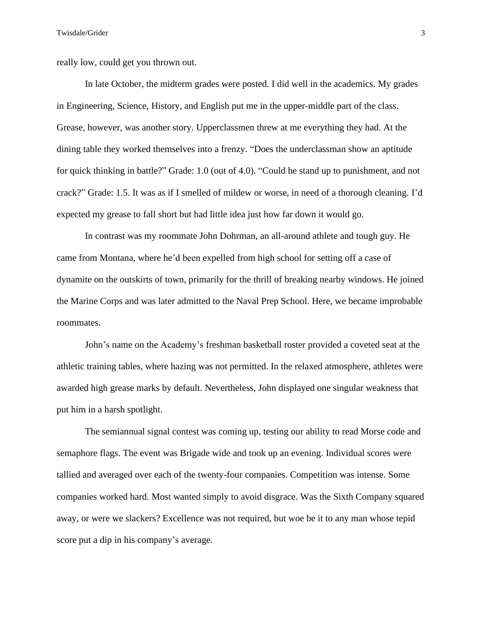really low, could get you thrown out.

In late October, the midterm grades were posted. I did well in the academics. My grades in Engineering, Science, History, and English put me in the upper-middle part of the class. Grease, however, was another story. Upperclassmen threw at me everything they had. At the dining table they worked themselves into a frenzy. "Does the underclassman show an aptitude for quick thinking in battle?" Grade: 1.0 (out of 4.0). "Could he stand up to punishment, and not crack?" Grade: 1.5. It was as if I smelled of mildew or worse, in need of a thorough cleaning. I'd expected my grease to fall short but had little idea just how far down it would go.

In contrast was my roommate John Dohrman, an all-around athlete and tough guy. He came from Montana, where he'd been expelled from high school for setting off a case of dynamite on the outskirts of town, primarily for the thrill of breaking nearby windows. He joined the Marine Corps and was later admitted to the Naval Prep School. Here, we became improbable roommates.

John's name on the Academy's freshman basketball roster provided a coveted seat at the athletic training tables, where hazing was not permitted. In the relaxed atmosphere, athletes were awarded high grease marks by default. Nevertheless, John displayed one singular weakness that put him in a harsh spotlight.

The semiannual signal contest was coming up, testing our ability to read Morse code and semaphore flags. The event was Brigade wide and took up an evening. Individual scores were tallied and averaged over each of the twenty-four companies. Competition was intense. Some companies worked hard. Most wanted simply to avoid disgrace. Was the Sixth Company squared away, or were we slackers? Excellence was not required, but woe be it to any man whose tepid score put a dip in his company's average.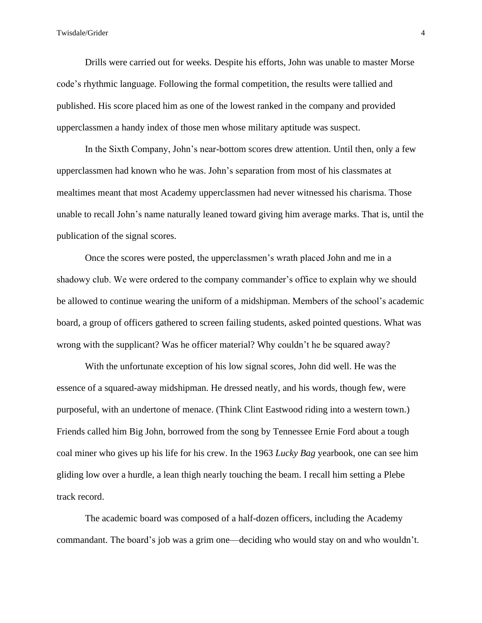Drills were carried out for weeks. Despite his efforts, John was unable to master Morse code's rhythmic language. Following the formal competition, the results were tallied and published. His score placed him as one of the lowest ranked in the company and provided upperclassmen a handy index of those men whose military aptitude was suspect.

In the Sixth Company, John's near-bottom scores drew attention. Until then, only a few upperclassmen had known who he was. John's separation from most of his classmates at mealtimes meant that most Academy upperclassmen had never witnessed his charisma. Those unable to recall John's name naturally leaned toward giving him average marks. That is, until the publication of the signal scores.

Once the scores were posted, the upperclassmen's wrath placed John and me in a shadowy club. We were ordered to the company commander's office to explain why we should be allowed to continue wearing the uniform of a midshipman. Members of the school's academic board, a group of officers gathered to screen failing students, asked pointed questions. What was wrong with the supplicant? Was he officer material? Why couldn't he be squared away?

With the unfortunate exception of his low signal scores, John did well. He was the essence of a squared-away midshipman. He dressed neatly, and his words, though few, were purposeful, with an undertone of menace. (Think Clint Eastwood riding into a western town.) Friends called him Big John, borrowed from the song by Tennessee Ernie Ford about a tough coal miner who gives up his life for his crew. In the 1963 *Lucky Bag* yearbook, one can see him gliding low over a hurdle, a lean thigh nearly touching the beam. I recall him setting a Plebe track record.

The academic board was composed of a half-dozen officers, including the Academy commandant. The board's job was a grim one—deciding who would stay on and who wouldn't.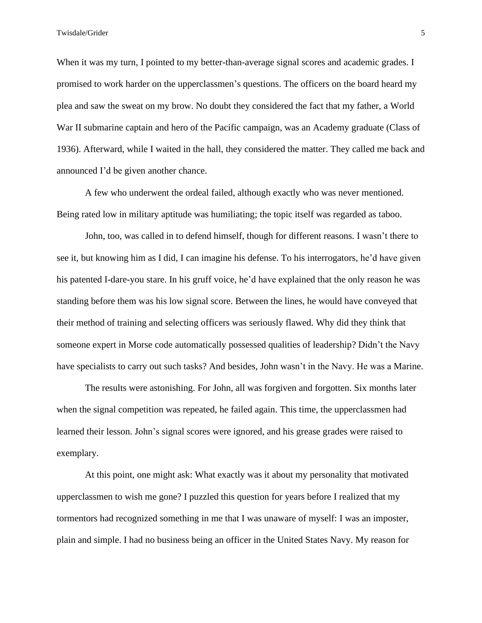Twisdale/Grider 5

When it was my turn, I pointed to my better-than-average signal scores and academic grades. I promised to work harder on the upperclassmen's questions. The officers on the board heard my plea and saw the sweat on my brow. No doubt they considered the fact that my father, a World War II submarine captain and hero of the Pacific campaign, was an Academy graduate (Class of 1936). Afterward, while I waited in the hall, they considered the matter. They called me back and announced I'd be given another chance.

A few who underwent the ordeal failed, although exactly who was never mentioned. Being rated low in military aptitude was humiliating; the topic itself was regarded as taboo.

John, too, was called in to defend himself, though for different reasons. I wasn't there to see it, but knowing him as I did, I can imagine his defense. To his interrogators, he'd have given his patented I-dare-you stare. In his gruff voice, he'd have explained that the only reason he was standing before them was his low signal score. Between the lines, he would have conveyed that their method of training and selecting officers was seriously flawed. Why did they think that someone expert in Morse code automatically possessed qualities of leadership? Didn't the Navy have specialists to carry out such tasks? And besides, John wasn't in the Navy. He was a Marine.

The results were astonishing. For John, all was forgiven and forgotten. Six months later when the signal competition was repeated, he failed again. This time, the upperclassmen had learned their lesson. John's signal scores were ignored, and his grease grades were raised to exemplary.

At this point, one might ask: What exactly was it about my personality that motivated upperclassmen to wish me gone? I puzzled this question for years before I realized that my tormentors had recognized something in me that I was unaware of myself: I was an imposter, plain and simple. I had no business being an officer in the United States Navy. My reason for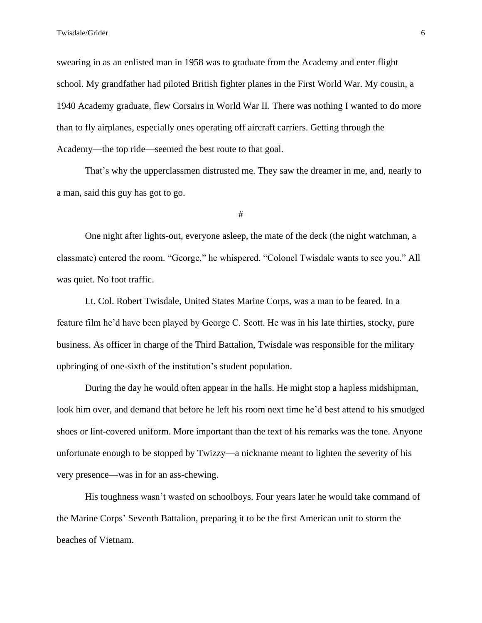swearing in as an enlisted man in 1958 was to graduate from the Academy and enter flight school. My grandfather had piloted British fighter planes in the First World War. My cousin, a 1940 Academy graduate, flew Corsairs in World War II. There was nothing I wanted to do more than to fly airplanes, especially ones operating off aircraft carriers. Getting through the Academy—the top ride—seemed the best route to that goal.

That's why the upperclassmen distrusted me. They saw the dreamer in me, and, nearly to a man, said this guy has got to go.

#

One night after lights-out, everyone asleep, the mate of the deck (the night watchman, a classmate) entered the room. "George," he whispered. "Colonel Twisdale wants to see you." All was quiet. No foot traffic.

Lt. Col. Robert Twisdale, United States Marine Corps, was a man to be feared. In a feature film he'd have been played by George C. Scott. He was in his late thirties, stocky, pure business. As officer in charge of the Third Battalion, Twisdale was responsible for the military upbringing of one-sixth of the institution's student population.

During the day he would often appear in the halls. He might stop a hapless midshipman, look him over, and demand that before he left his room next time he'd best attend to his smudged shoes or lint-covered uniform. More important than the text of his remarks was the tone. Anyone unfortunate enough to be stopped by Twizzy—a nickname meant to lighten the severity of his very presence—was in for an ass-chewing.

His toughness wasn't wasted on schoolboys. Four years later he would take command of the Marine Corps' Seventh Battalion, preparing it to be the first American unit to storm the beaches of Vietnam.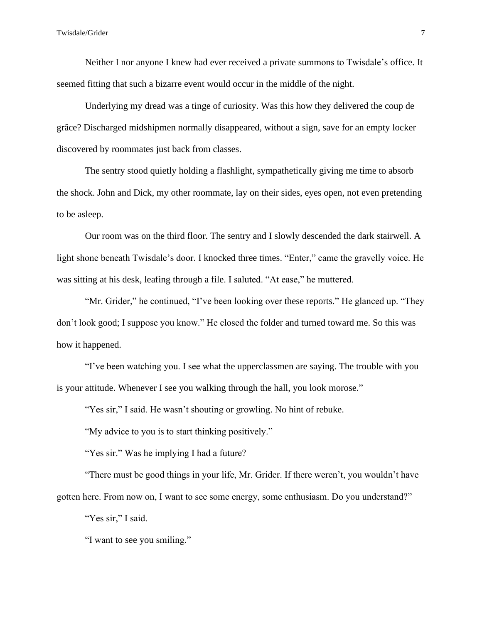Neither I nor anyone I knew had ever received a private summons to Twisdale's office. It seemed fitting that such a bizarre event would occur in the middle of the night.

Underlying my dread was a tinge of curiosity. Was this how they delivered the coup de grâce? Discharged midshipmen normally disappeared, without a sign, save for an empty locker discovered by roommates just back from classes.

The sentry stood quietly holding a flashlight, sympathetically giving me time to absorb the shock. John and Dick, my other roommate, lay on their sides, eyes open, not even pretending to be asleep.

Our room was on the third floor. The sentry and I slowly descended the dark stairwell. A light shone beneath Twisdale's door. I knocked three times. "Enter," came the gravelly voice. He was sitting at his desk, leafing through a file. I saluted. "At ease," he muttered.

"Mr. Grider," he continued, "I've been looking over these reports." He glanced up. "They don't look good; I suppose you know." He closed the folder and turned toward me. So this was how it happened.

"I've been watching you. I see what the upperclassmen are saying. The trouble with you is your attitude. Whenever I see you walking through the hall, you look morose."

"Yes sir," I said. He wasn't shouting or growling. No hint of rebuke.

"My advice to you is to start thinking positively."

"Yes sir." Was he implying I had a future?

"There must be good things in your life, Mr. Grider. If there weren't, you wouldn't have gotten here. From now on, I want to see some energy, some enthusiasm. Do you understand?"

"Yes sir," I said.

"I want to see you smiling."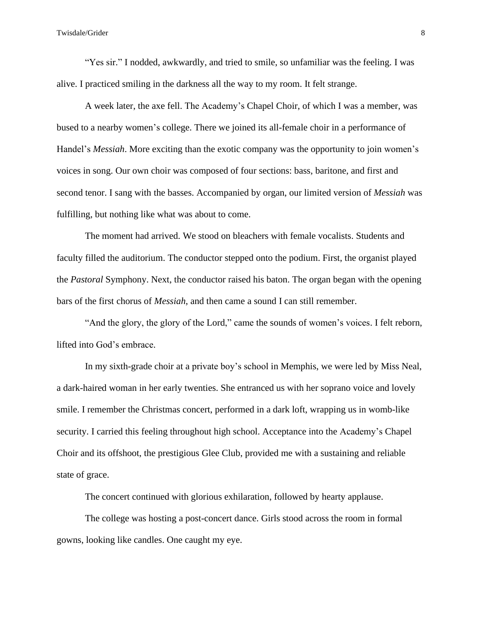"Yes sir." I nodded, awkwardly, and tried to smile, so unfamiliar was the feeling. I was alive. I practiced smiling in the darkness all the way to my room. It felt strange.

A week later, the axe fell. The Academy's Chapel Choir, of which I was a member, was bused to a nearby women's college. There we joined its all-female choir in a performance of Handel's *Messiah*. More exciting than the exotic company was the opportunity to join women's voices in song. Our own choir was composed of four sections: bass, baritone, and first and second tenor. I sang with the basses. Accompanied by organ, our limited version of *Messiah* was fulfilling, but nothing like what was about to come.

The moment had arrived. We stood on bleachers with female vocalists. Students and faculty filled the auditorium. The conductor stepped onto the podium. First, the organist played the *Pastoral* Symphony. Next, the conductor raised his baton. The organ began with the opening bars of the first chorus of *Messiah*, and then came a sound I can still remember.

"And the glory, the glory of the Lord," came the sounds of women's voices. I felt reborn, lifted into God's embrace.

In my sixth-grade choir at a private boy's school in Memphis, we were led by Miss Neal, a dark-haired woman in her early twenties. She entranced us with her soprano voice and lovely smile. I remember the Christmas concert, performed in a dark loft, wrapping us in womb-like security. I carried this feeling throughout high school. Acceptance into the Academy's Chapel Choir and its offshoot, the prestigious Glee Club, provided me with a sustaining and reliable state of grace.

The concert continued with glorious exhilaration, followed by hearty applause.

The college was hosting a post-concert dance. Girls stood across the room in formal gowns, looking like candles. One caught my eye.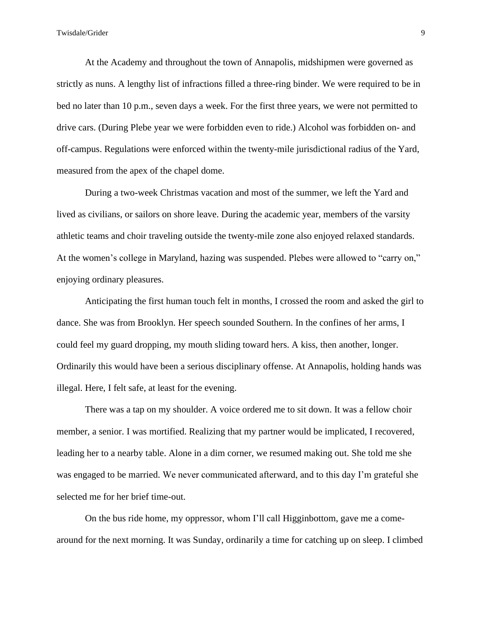At the Academy and throughout the town of Annapolis, midshipmen were governed as strictly as nuns. A lengthy list of infractions filled a three-ring binder. We were required to be in bed no later than 10 p.m., seven days a week. For the first three years, we were not permitted to drive cars. (During Plebe year we were forbidden even to ride.) Alcohol was forbidden on- and off-campus. Regulations were enforced within the twenty-mile jurisdictional radius of the Yard, measured from the apex of the chapel dome.

During a two-week Christmas vacation and most of the summer, we left the Yard and lived as civilians, or sailors on shore leave. During the academic year, members of the varsity athletic teams and choir traveling outside the twenty-mile zone also enjoyed relaxed standards. At the women's college in Maryland, hazing was suspended. Plebes were allowed to "carry on," enjoying ordinary pleasures.

Anticipating the first human touch felt in months, I crossed the room and asked the girl to dance. She was from Brooklyn. Her speech sounded Southern. In the confines of her arms, I could feel my guard dropping, my mouth sliding toward hers. A kiss, then another, longer. Ordinarily this would have been a serious disciplinary offense. At Annapolis, holding hands was illegal. Here, I felt safe, at least for the evening.

There was a tap on my shoulder. A voice ordered me to sit down. It was a fellow choir member, a senior. I was mortified. Realizing that my partner would be implicated, I recovered, leading her to a nearby table. Alone in a dim corner, we resumed making out. She told me she was engaged to be married. We never communicated afterward, and to this day I'm grateful she selected me for her brief time-out.

On the bus ride home, my oppressor, whom I'll call Higginbottom, gave me a comearound for the next morning. It was Sunday, ordinarily a time for catching up on sleep. I climbed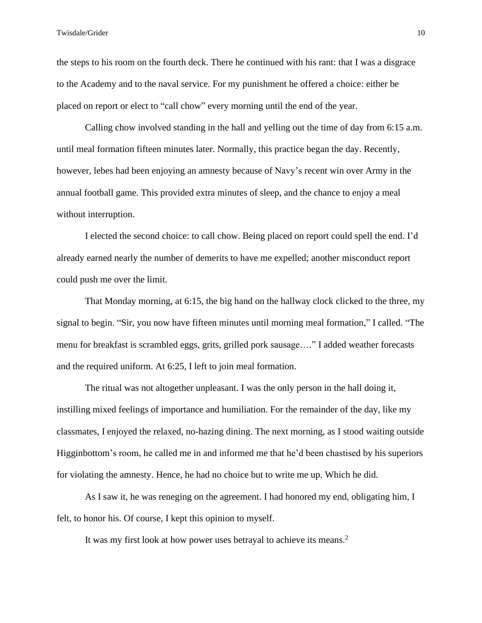the steps to his room on the fourth deck. There he continued with his rant: that I was a disgrace to the Academy and to the naval service. For my punishment he offered a choice: either be placed on report or elect to "call chow" every morning until the end of the year.

Calling chow involved standing in the hall and yelling out the time of day from 6:15 a.m. until meal formation fifteen minutes later. Normally, this practice began the day. Recently, however, lebes had been enjoying an amnesty because of Navy's recent win over Army in the annual football game. This provided extra minutes of sleep, and the chance to enjoy a meal without interruption.

I elected the second choice: to call chow. Being placed on report could spell the end. I'd already earned nearly the number of demerits to have me expelled; another misconduct report could push me over the limit.

That Monday morning, at 6:15, the big hand on the hallway clock clicked to the three, my signal to begin. "Sir, you now have fifteen minutes until morning meal formation," I called. "The menu for breakfast is scrambled eggs, grits, grilled pork sausage…." I added weather forecasts and the required uniform. At 6:25, I left to join meal formation.

The ritual was not altogether unpleasant. I was the only person in the hall doing it, instilling mixed feelings of importance and humiliation. For the remainder of the day, like my classmates, I enjoyed the relaxed, no-hazing dining. The next morning, as I stood waiting outside Higginbottom's room, he called me in and informed me that he'd been chastised by his superiors for violating the amnesty. Hence, he had no choice but to write me up. Which he did.

As I saw it, he was reneging on the agreement. I had honored my end, obligating him, I felt, to honor his. Of course, I kept this opinion to myself.

It was my first look at how power uses betrayal to achieve its means.<sup>2</sup>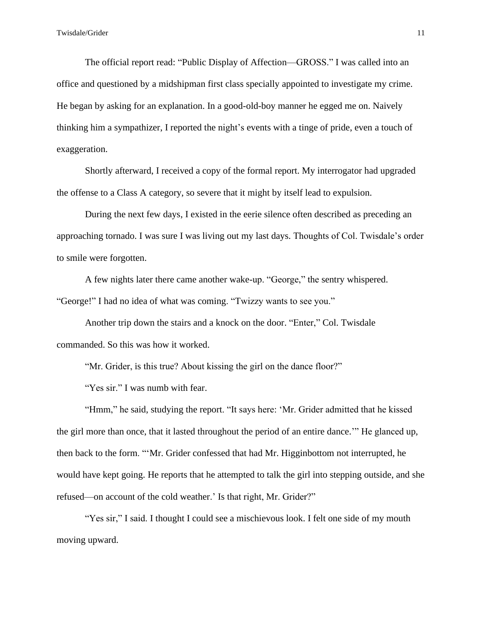The official report read: "Public Display of Affection—GROSS." I was called into an office and questioned by a midshipman first class specially appointed to investigate my crime. He began by asking for an explanation. In a good-old-boy manner he egged me on. Naively thinking him a sympathizer, I reported the night's events with a tinge of pride, even a touch of exaggeration.

Shortly afterward, I received a copy of the formal report. My interrogator had upgraded the offense to a Class A category, so severe that it might by itself lead to expulsion.

During the next few days, I existed in the eerie silence often described as preceding an approaching tornado. I was sure I was living out my last days. Thoughts of Col. Twisdale's order to smile were forgotten.

A few nights later there came another wake-up. "George," the sentry whispered. "George!" I had no idea of what was coming. "Twizzy wants to see you."

Another trip down the stairs and a knock on the door. "Enter," Col. Twisdale commanded. So this was how it worked.

"Mr. Grider, is this true? About kissing the girl on the dance floor?"

"Yes sir." I was numb with fear.

"Hmm," he said, studying the report. "It says here: 'Mr. Grider admitted that he kissed the girl more than once, that it lasted throughout the period of an entire dance.'" He glanced up, then back to the form. "'Mr. Grider confessed that had Mr. Higginbottom not interrupted, he would have kept going. He reports that he attempted to talk the girl into stepping outside, and she refused—on account of the cold weather.' Is that right, Mr. Grider?"

"Yes sir," I said. I thought I could see a mischievous look. I felt one side of my mouth moving upward.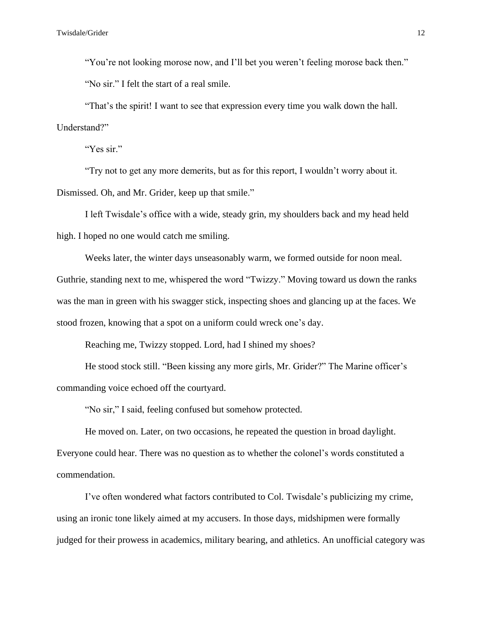"You're not looking morose now, and I'll bet you weren't feeling morose back then."

"No sir." I felt the start of a real smile.

"That's the spirit! I want to see that expression every time you walk down the hall. Understand?"

"Yes sir."

"Try not to get any more demerits, but as for this report, I wouldn't worry about it. Dismissed. Oh, and Mr. Grider, keep up that smile."

I left Twisdale's office with a wide, steady grin, my shoulders back and my head held high. I hoped no one would catch me smiling.

Weeks later, the winter days unseasonably warm, we formed outside for noon meal. Guthrie, standing next to me, whispered the word "Twizzy." Moving toward us down the ranks was the man in green with his swagger stick, inspecting shoes and glancing up at the faces. We stood frozen, knowing that a spot on a uniform could wreck one's day.

Reaching me, Twizzy stopped. Lord, had I shined my shoes?

He stood stock still. "Been kissing any more girls, Mr. Grider?" The Marine officer's commanding voice echoed off the courtyard.

"No sir," I said, feeling confused but somehow protected.

He moved on. Later, on two occasions, he repeated the question in broad daylight. Everyone could hear. There was no question as to whether the colonel's words constituted a commendation.

I've often wondered what factors contributed to Col. Twisdale's publicizing my crime, using an ironic tone likely aimed at my accusers. In those days, midshipmen were formally judged for their prowess in academics, military bearing, and athletics. An unofficial category was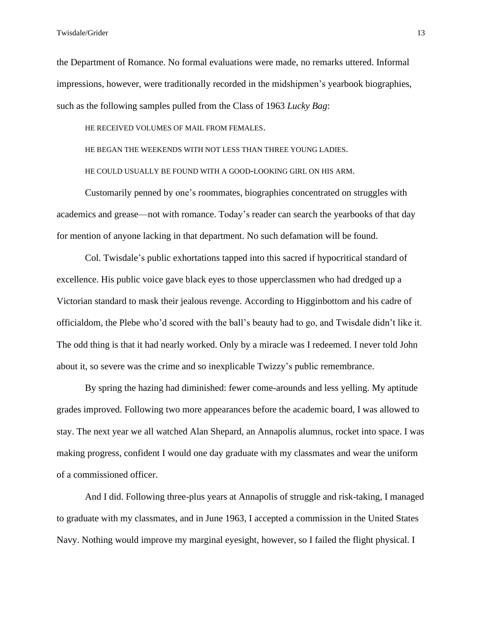the Department of Romance. No formal evaluations were made, no remarks uttered. Informal impressions, however, were traditionally recorded in the midshipmen's yearbook biographies, such as the following samples pulled from the Class of 1963 *Lucky Bag*:

HE RECEIVED VOLUMES OF MAIL FROM FEMALES.

HE BEGAN THE WEEKENDS WITH NOT LESS THAN THREE YOUNG LADIES.

HE COULD USUALLY BE FOUND WITH A GOOD-LOOKING GIRL ON HIS ARM.

Customarily penned by one's roommates, biographies concentrated on struggles with academics and grease—not with romance. Today's reader can search the yearbooks of that day for mention of anyone lacking in that department. No such defamation will be found.

Col. Twisdale's public exhortations tapped into this sacred if hypocritical standard of excellence. His public voice gave black eyes to those upperclassmen who had dredged up a Victorian standard to mask their jealous revenge. According to Higginbottom and his cadre of officialdom, the Plebe who'd scored with the ball's beauty had to go, and Twisdale didn't like it. The odd thing is that it had nearly worked. Only by a miracle was I redeemed. I never told John about it, so severe was the crime and so inexplicable Twizzy's public remembrance.

By spring the hazing had diminished: fewer come-arounds and less yelling. My aptitude grades improved. Following two more appearances before the academic board, I was allowed to stay. The next year we all watched Alan Shepard, an Annapolis alumnus, rocket into space. I was making progress, confident I would one day graduate with my classmates and wear the uniform of a commissioned officer.

And I did. Following three-plus years at Annapolis of struggle and risk-taking, I managed to graduate with my classmates, and in June 1963, I accepted a commission in the United States Navy. Nothing would improve my marginal eyesight, however, so I failed the flight physical. I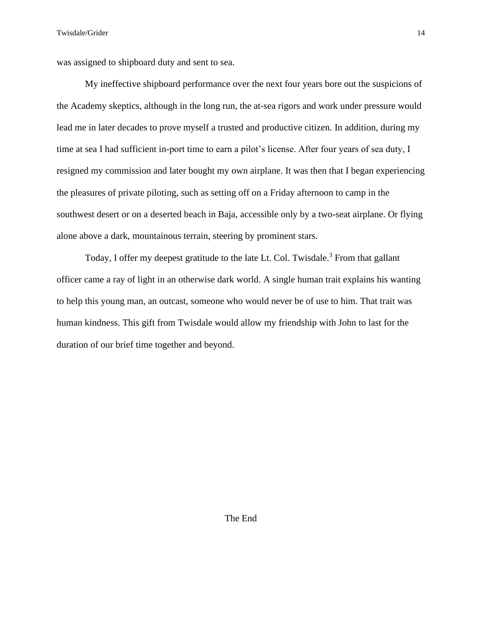was assigned to shipboard duty and sent to sea.

My ineffective shipboard performance over the next four years bore out the suspicions of the Academy skeptics, although in the long run, the at-sea rigors and work under pressure would lead me in later decades to prove myself a trusted and productive citizen. In addition, during my time at sea I had sufficient in-port time to earn a pilot's license. After four years of sea duty, I resigned my commission and later bought my own airplane. It was then that I began experiencing the pleasures of private piloting, such as setting off on a Friday afternoon to camp in the southwest desert or on a deserted beach in Baja, accessible only by a two-seat airplane. Or flying alone above a dark, mountainous terrain, steering by prominent stars.

Today, I offer my deepest gratitude to the late Lt. Col. Twisdale.<sup>3</sup> From that gallant officer came a ray of light in an otherwise dark world. A single human trait explains his wanting to help this young man, an outcast, someone who would never be of use to him. That trait was human kindness. This gift from Twisdale would allow my friendship with John to last for the duration of our brief time together and beyond.

The End